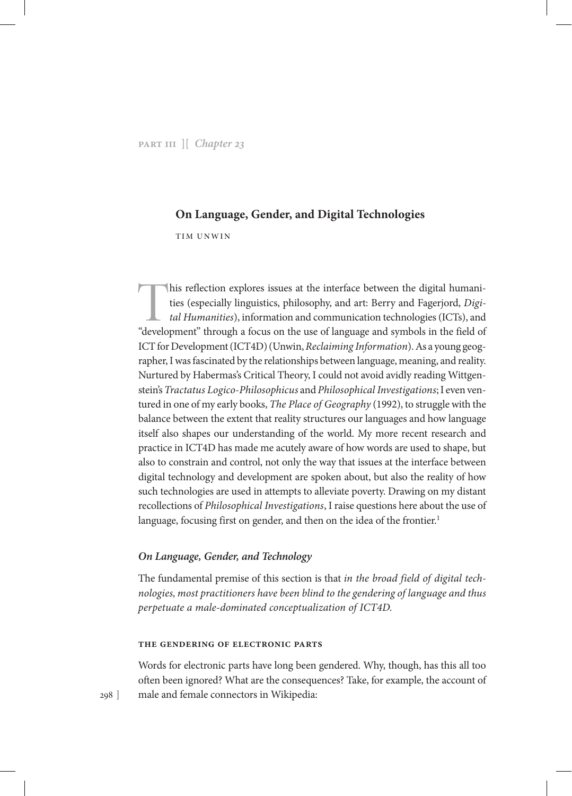# **On Language, Gender, and Digital Technologies**

Tim Unwin

This reflection explores issues at the interface between the digital humanities (especially linguistics, philosophy, and art: Berry and Fagerjord, *Digital Humanities*), information and communication technologies (ICTs), and "development" through a focus on the use of language and symbols in the field of ICT for Development (ICT4D) (Unwin, *Reclaiming Information*). As a young geographer, I was fascinated by the relationships between language, meaning, and reality. Nurtured by Habermas's Critical Theory, I could not avoid avidly reading Wittgenstein's *Tractatus Logico-Philosophicus* and *Philosophical Investigations*; I even ventured in one of my early books, *The Place of Geography* (1992), to struggle with the balance between the extent that reality structures our languages and how language itself also shapes our understanding of the world. My more recent research and practice in ICT4D has made me acutely aware of how words are used to shape, but also to constrain and control, not only the way that issues at the interface between digital technology and development are spoken about, but also the reality of how such technologies are used in attempts to alleviate poverty. Drawing on my distant recollections of *Philosophical Investigations*, I raise questions here about the use of language, focusing first on gender, and then on the idea of the frontier.<sup>1</sup>

# *On Language, Gender, and Technology*

The fundamental premise of this section is that *in the broad field of digital technologies, most practitioners have been blind to the gendering of language and thus perpetuate a male-dominated conceptualization of ICT4D.*

### **The Gendering of Electronic Parts**

Words for electronic parts have long been gendered. Why, though, has this all too often been ignored? What are the consequences? Take, for example, the account of male and female connectors in Wikipedia:

298 ]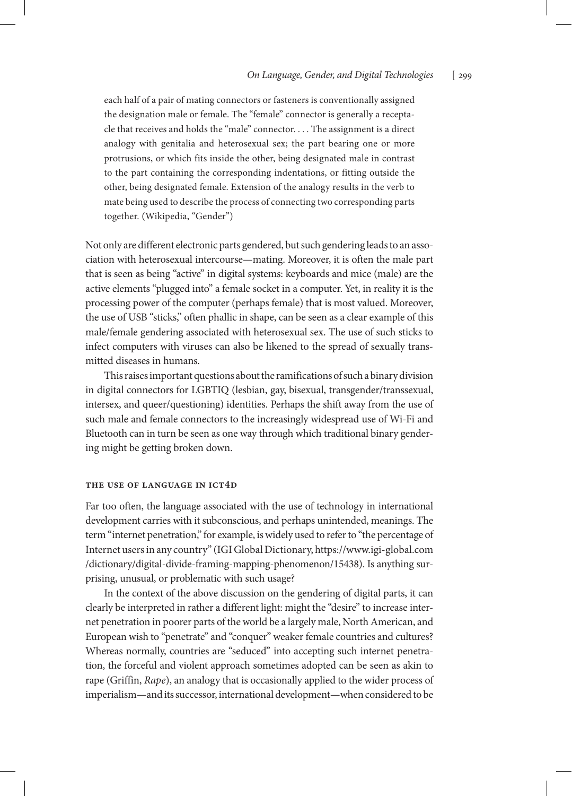each half of a pair of mating connectors or fasteners is conventionally assigned the designation male or female. The "female" connector is generally a receptacle that receives and holds the "male" connector. . . . The assignment is a direct analogy with genitalia and heterosexual sex; the part bearing one or more protrusions, or which fits inside the other, being designated male in contrast to the part containing the corresponding indentations, or fitting outside the other, being designated female. Extension of the analogy results in the verb to mate being used to describe the process of connecting two corresponding parts together. (Wikipedia, "Gender")

Not only are different electronic parts gendered, but such gendering leads to an association with heterosexual intercourse—mating. Moreover, it is often the male part that is seen as being "active" in digital systems: keyboards and mice (male) are the active elements "plugged into" a female socket in a computer. Yet, in reality it is the processing power of the computer (perhaps female) that is most valued. Moreover, the use of USB "sticks," often phallic in shape, can be seen as a clear example of this male/female gendering associated with heterosexual sex. The use of such sticks to infect computers with viruses can also be likened to the spread of sexually transmitted diseases in humans.

This raises important questions about the ramifications of such a binary division in digital connectors for LGBTIQ (lesbian, gay, bisexual, transgender/transsexual, intersex, and queer/questioning) identities. Perhaps the shift away from the use of such male and female connectors to the increasingly widespread use of Wi-Fi and Bluetooth can in turn be seen as one way through which traditional binary gendering might be getting broken down.

### **The Use of Language in ICT4D**

Far too often, the language associated with the use of technology in international development carries with it subconscious, and perhaps unintended, meanings. The term "internet penetration," for example, is widely used to refer to "the percentage of Internet users in any country" (IGI Global Dictionary, https://www.igi-global.com /dictionary/digital-divide-framing-mapping-phenomenon/15438). Is anything surprising, unusual, or problematic with such usage?

In the context of the above discussion on the gendering of digital parts, it can clearly be interpreted in rather a different light: might the "desire" to increase internet penetration in poorer parts of the world be a largely male, North American, and European wish to "penetrate" and "conquer" weaker female countries and cultures? Whereas normally, countries are "seduced" into accepting such internet penetration, the forceful and violent approach sometimes adopted can be seen as akin to rape (Griffin, *Rape*), an analogy that is occasionally applied to the wider process of imperialism—and its successor, international development—when considered to be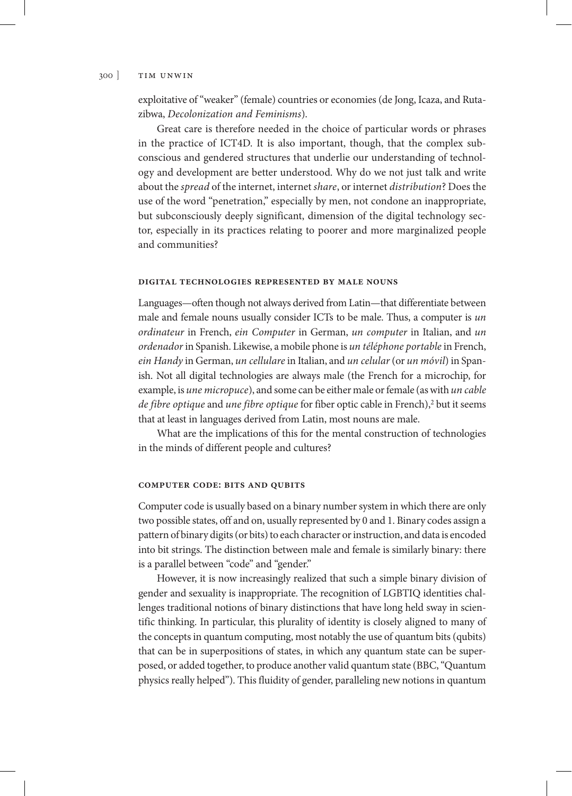#### 300 ] tim unwin

exploitative of "weaker" (female) countries or economies (de Jong, Icaza, and Rutazibwa, *Decolonization and Feminisms*).

Great care is therefore needed in the choice of particular words or phrases in the practice of ICT4D. It is also important, though, that the complex subconscious and gendered structures that underlie our understanding of technology and development are better understood. Why do we not just talk and write about the *spread* of the internet, internet *share*, or internet *distribution*? Does the use of the word "penetration," especially by men, not condone an inappropriate, but subconsciously deeply significant, dimension of the digital technology sector, especially in its practices relating to poorer and more marginalized people and communities?

### **Digital Technologies Represented by Male Nouns**

Languages—often though not always derived from Latin—that differentiate between male and female nouns usually consider ICTs to be male. Thus, a computer is *un ordinateur* in French, *ein Computer* in German, *un computer* in Italian, and *un ordenador* in Spanish. Likewise, a mobile phone is *un téléphone portable* in French, *ein Handy* in German, *un cellulare* in Italian, and *un celular* (or *un móvil*) in Spanish. Not all digital technologies are always male (the French for a microchip, for example, is *une micropuce*), and some can be either male or female (as with *un cable*  de fibre optique and une fibre optique for fiber optic cable in French),<sup>2</sup> but it seems that at least in languages derived from Latin, most nouns are male.

What are the implications of this for the mental construction of technologies in the minds of different people and cultures?

# **Computer Code: Bits and Qubits**

Computer code is usually based on a binary number system in which there are only two possible states, off and on, usually represented by 0 and 1. Binary codes assign a pattern of binary digits (or bits) to each character or instruction, and data is encoded into bit strings. The distinction between male and female is similarly binary: there is a parallel between "code" and "gender."

However, it is now increasingly realized that such a simple binary division of gender and sexuality is inappropriate. The recognition of LGBTIQ identities challenges traditional notions of binary distinctions that have long held sway in scientific thinking. In particular, this plurality of identity is closely aligned to many of the concepts in quantum computing, most notably the use of quantum bits (qubits) that can be in superpositions of states, in which any quantum state can be superposed, or added together, to produce another valid quantum state (BBC, "Quantum physics really helped"). This fluidity of gender, paralleling new notions in quantum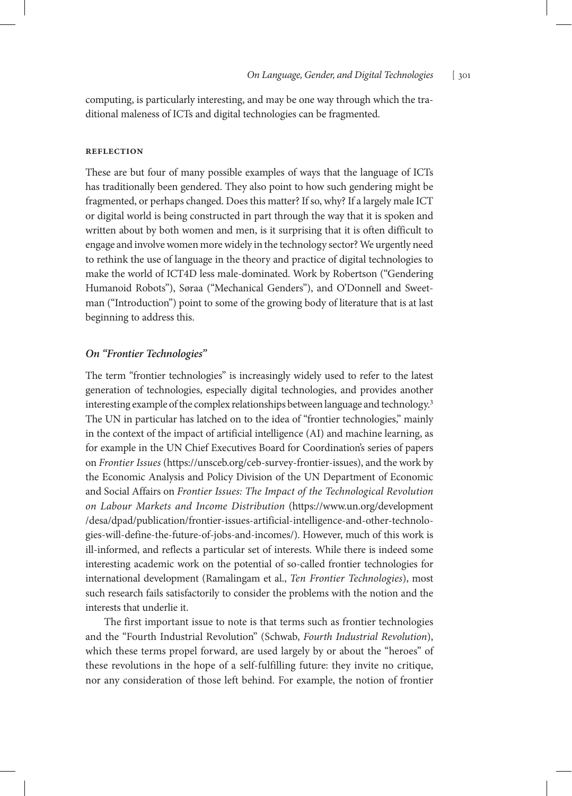computing, is particularly interesting, and may be one way through which the traditional maleness of ICTs and digital technologies can be fragmented.

### **Reflection**

These are but four of many possible examples of ways that the language of ICTs has traditionally been gendered. They also point to how such gendering might be fragmented, or perhaps changed. Does this matter? If so, why? If a largely male ICT or digital world is being constructed in part through the way that it is spoken and written about by both women and men, is it surprising that it is often difficult to engage and involve women more widely in the technology sector? We urgently need to rethink the use of language in the theory and practice of digital technologies to make the world of ICT4D less male-dominated. Work by Robertson ("Gendering Humanoid Robots"), Søraa ("Mechanical Genders"), and O'Donnell and Sweetman ("Introduction") point to some of the growing body of literature that is at last beginning to address this.

# *On "Frontier Technologies"*

The term "frontier technologies" is increasingly widely used to refer to the latest generation of technologies, especially digital technologies, and provides another interesting example of the complex relationships between language and technology.<sup>3</sup> The UN in particular has latched on to the idea of "frontier technologies," mainly in the context of the impact of artificial intelligence (AI) and machine learning, as for example in the UN Chief Executives Board for Coordination's series of papers on *Frontier Issues* (https://unsceb.org/ceb-survey-frontier-issues), and the work by the Economic Analysis and Policy Division of the UN Department of Economic and Social Affairs on *Frontier Issues: The Impact of the Technological Revolution on Labour Markets and Income Distribution* (https://www.un.org/development /desa/dpad/publication/frontier-issues-artificial-intelligence-and-other-technologies-will-define-the-future-of-jobs-and-incomes/). However, much of this work is ill-informed, and reflects a particular set of interests. While there is indeed some interesting academic work on the potential of so-called frontier technologies for international development (Ramalingam et al., *Ten Frontier Technologies*), most such research fails satisfactorily to consider the problems with the notion and the interests that underlie it.

The first important issue to note is that terms such as frontier technologies and the "Fourth Industrial Revolution" (Schwab, *Fourth Industrial Revolution*), which these terms propel forward, are used largely by or about the "heroes" of these revolutions in the hope of a self-fulfilling future: they invite no critique, nor any consideration of those left behind. For example, the notion of frontier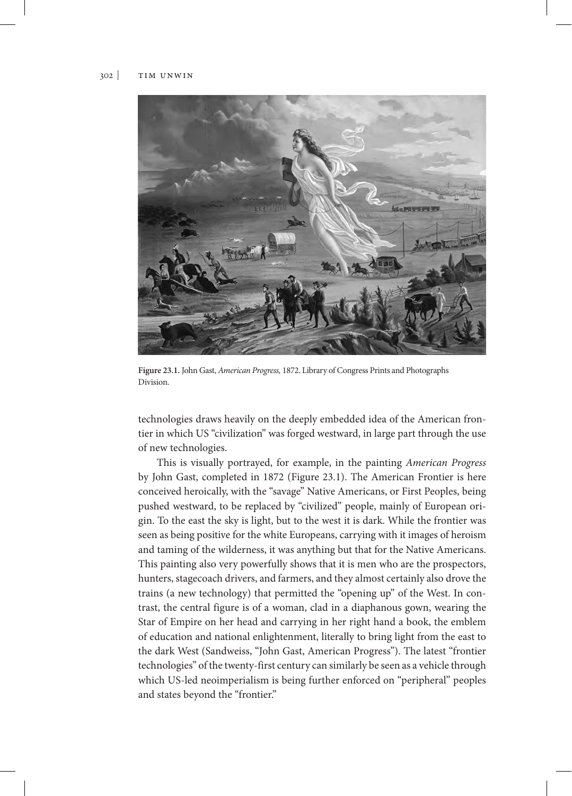

**Figure 23.1.** John Gast, *American Progress,* 1872. Library of Congress Prints and Photographs Division.

technologies draws heavily on the deeply embedded idea of the American frontier in which US "civilization" was forged westward, in large part through the use of new technologies.

This is visually portrayed, for example, in the painting *American Progress* by John Gast, completed in 1872 (Figure 23.1). The American Frontier is here conceived heroically, with the "savage" Native Americans, or First Peoples, being pushed westward, to be replaced by "civilized" people, mainly of European origin. To the east the sky is light, but to the west it is dark. While the frontier was seen as being positive for the white Europeans, carrying with it images of heroism and taming of the wilderness, it was anything but that for the Native Americans. This painting also very powerfully shows that it is men who are the prospectors, hunters, stagecoach drivers, and farmers, and they almost certainly also drove the trains (a new technology) that permitted the "opening up" of the West. In contrast, the central figure is of a woman, clad in a diaphanous gown, wearing the Star of Empire on her head and carrying in her right hand a book, the emblem of education and national enlightenment, literally to bring light from the east to the dark West (Sandweiss, "John Gast, American Progress"). The latest "frontier technologies" of the twenty-first century can similarly be seen as a vehicle through which US-led neoimperialism is being further enforced on "peripheral" peoples and states beyond the "frontier."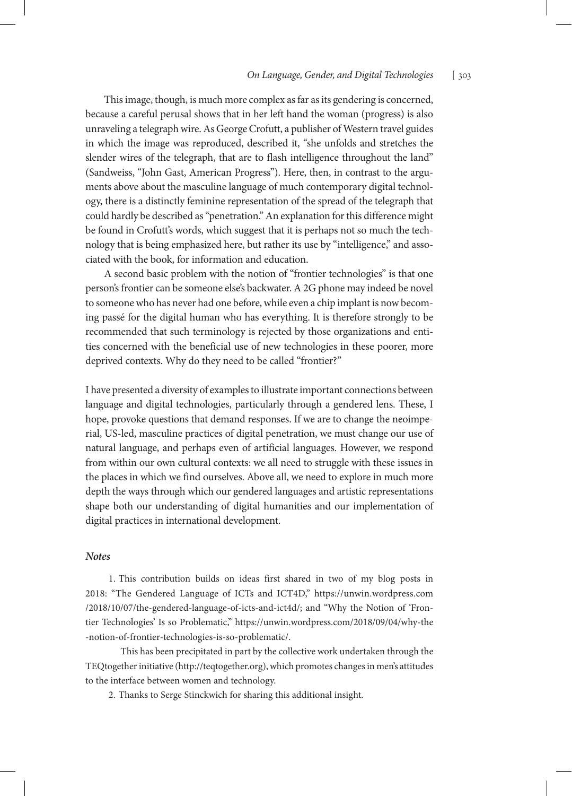# *On Language, Gender, and Digital Technologies* [ 303

This image, though, is much more complex as far as its gendering is concerned, because a careful perusal shows that in her left hand the woman (progress) is also unraveling a telegraph wire. As George Crofutt, a publisher of Western travel guides in which the image was reproduced, described it, "she unfolds and stretches the slender wires of the telegraph, that are to flash intelligence throughout the land" (Sandweiss, "John Gast, American Progress"). Here, then, in contrast to the arguments above about the masculine language of much contemporary digital technology, there is a distinctly feminine representation of the spread of the telegraph that could hardly be described as "penetration." An explanation for this difference might be found in Crofutt's words, which suggest that it is perhaps not so much the technology that is being emphasized here, but rather its use by "intelligence," and associated with the book, for information and education.

A second basic problem with the notion of "frontier technologies" is that one person's frontier can be someone else's backwater. A 2G phone may indeed be novel to someone who has never had one before, while even a chip implant is now becoming passé for the digital human who has everything. It is therefore strongly to be recommended that such terminology is rejected by those organizations and entities concerned with the beneficial use of new technologies in these poorer, more deprived contexts. Why do they need to be called "frontier?"

I have presented a diversity of examples to illustrate important connections between language and digital technologies, particularly through a gendered lens. These, I hope, provoke questions that demand responses. If we are to change the neoimperial, US-led, masculine practices of digital penetration, we must change our use of natural language, and perhaps even of artificial languages. However, we respond from within our own cultural contexts: we all need to struggle with these issues in the places in which we find ourselves. Above all, we need to explore in much more depth the ways through which our gendered languages and artistic representations shape both our understanding of digital humanities and our implementation of digital practices in international development.

# *Notes*

1. This contribution builds on ideas first shared in two of my blog posts in 2018: "The Gendered Language of ICTs and ICT4D," https://unwin.wordpress.com /2018/10/07/the-gendered-language-of-icts-and-ict4d/; and "Why the Notion of 'Frontier Technologies' Is so Problematic," https://unwin.wordpress.com/2018/09/04/why-the -notion-of-frontier-technologies-is-so-problematic/.

 This has been precipitated in part by the collective work undertaken through the TEQtogether initiative (http://teqtogether.org), which promotes changes in men's attitudes to the interface between women and technology.

2. Thanks to Serge Stinckwich for sharing this additional insight.